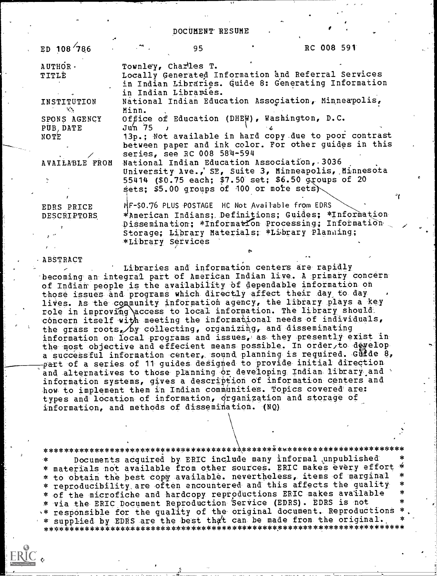DOCUMENT RESUME

| ED $108/786$                                                           | $\mathbb{R}^n$    | 95                                                                                                                                                            |  | RC 008 591 |  |
|------------------------------------------------------------------------|-------------------|---------------------------------------------------------------------------------------------------------------------------------------------------------------|--|------------|--|
| AUTHOR -<br><b>TITLÉ</b>                                               |                   | Townley, Charles T.<br>Locally Generated Information and Referral Services<br>in Indian Libraries. Guide 8: Generating Information<br>in Indian Libraries.    |  |            |  |
| INSTITUTION<br>$\mathcal{L}(\mathcal{S})$                              | Minn.             | National Indian Education Association, Minneapolis,                                                                                                           |  |            |  |
| SPONS AGENCY Office of Education (DHEW), Washington, D.C.<br>PUB, DATE | $Juh$ 75 $J$      |                                                                                                                                                               |  |            |  |
| NOTE                                                                   |                   | 13p.; Not available in hard copy due to poor contrast<br>between paper and ink color. For other guides in this<br>series, see RC 008 584-594                  |  |            |  |
| AVAILABLE FROM                                                         |                   | National Indian Education Association, 3036<br>University Ave., SE, Suite 3, Minneapolis, Minnesota<br>55414 (\$0.75 each; \$7.50 set; \$6.50 groups of 20    |  |            |  |
|                                                                        |                   | sets; \$5.00 groups of $100$ or more sets)                                                                                                                    |  |            |  |
| EDRS PRICE                                                             |                   | MF-\$0.76 PLUS POSTAGE HC Not Available from EDRS                                                                                                             |  |            |  |
| DESCRIPTORS<br>$\epsilon$ <sup>-</sup>                                 | *Library Services | *American Indians; Definitions; Guides; *Information<br>Dissemination; *Information Processing; Information<br>Storage; Library Materials; *Library Planning; |  |            |  |

### ABSTRACT

Libraries and information centers are rapidly becoming an integral part of American Indian live. A primary concern of Indian people is the availability of dependable information on those issues and programs which directly affect their day to day lives. As the community information agency, the library plays a key role in improving access to local information. The library should, concern itself with meeting the informational needs of individuals, the grass roots, by collecting, organizing, and disseminating information on local programs and issues, as they presently exist in the most objective and effecient means possible. In order, to develop a successful information center, sound planning is required. Guide 8, part of a series of 11 guides designed to provide initial direction and alternatives to those planning or developing Indian library and information systems, gives a description of information centers and how to implement them in Indian communities. Topics covered are: types and location of information, organization and storage of information, and methods of dissemination. (NQ)

Documents acquired by ERIC include many informal unpublished يلا -\* materials not available from other sources. ERIC makes every effort ×k.  $\star$ \* to obtain the best copy available. nevertheless, items of marginal \* reproducibility are often encountered and this affects the quality \* of the microfiche and hardcopy reproductions ERIC makes available \* via the ERIC Document Reproduction Service (EDRS). EDRS is not \* responsible for the quality of the original document. Reproductions \* \* supplied by EDRS are the best that can be made from the original.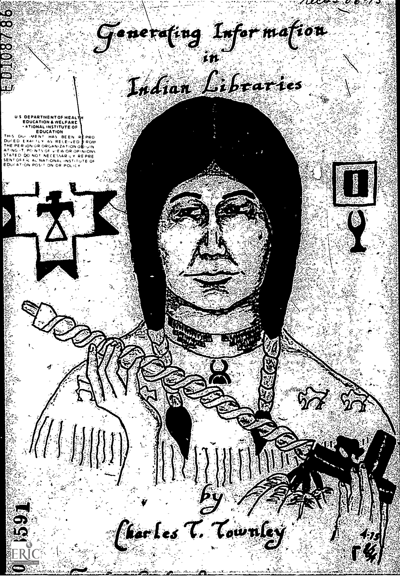

Ludian Libraries

# **FDUCATION**

**PAGE** 

**CONSISTENT** 

 $\Delta$ 

A.

 $\sqrt{1}$ 

ia<br>16



\$28







 $by^-$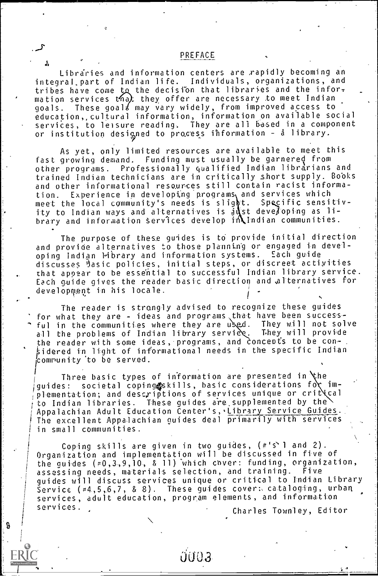Librdries and information centers are rapidly becoming an integral.part of Indian life. Individuals, organizations, and tribes have come to the decision that libraries and the information services that they offer are necessary to meet Indian goals. These goal' may vary widely, from improved access to education,,cultural information, information on available social services, to leisure reading. They are all based in a component or institution designed to process information -  $\delta$  library.

As yet, only limited resources are available to meet this fast growing demand. Funding must usually be garnered from other programs. Professionally qualified Indian librdrians and trained Indian technicians are in critically short supply. Books and other informational resqurces still contain racist information. Experience in developing programs and services which meet the local community's needs is slight. Specific sensitivity to Indian ways and alternatives is just developing as Ii– brary and information services develop in Indian communities.

The purpose of these guides is to provide initial direction and provide alternatives to those planning or engaged in developing Indian library and information systems. Each guide discusses Basic policies, initial steps, or discreet activities that appear to be essential to successful Indian library service. Each guide gives the reader basic direction and \alternatives for development in his locale.

The reader is strangly advised to recognize these guides for what they are - ideas and programs that have been successful in the communities where they are used. They will not solve all the problems of Indian library service. They will provide an i the reader with some ideas, programs, and concents to be con- $\frac{1}{2}$ idered in light of informational needs in the specific Indian icompunity'to be served.

Three basic types of information are presented in  $\forall$ he guides: societal copingoskills, basic considerations for implementation; and descriptions of services unique or crit  $i$  cal to Indian libraries. These guides are supplemented by the Appalachian Adult Education Center's, Library Service Guides. The excellent Appalachian guides deal primarily with services in small communities.

Coping skills are given in two guides, (#'s'l and 2).<br>| Organization and implementation will be discussed in five of<br>| the quides (#0.3.9.10, 8.11) which cover: funding, organization. the guides  $(40,3,9,10,-8,11)$  which cover: funding, organization, assessing needs, materials selection, and training. Five assessing needs, materials selection, and training. guides will discuss services unique or critical to Indian Library Service  $(*4,5,6,7, 88)$ . These guides cover: cataloging, urban services, adult education, program elements, and information <sup>I</sup> services. . Charles Townley, Editor

*<u>U003</u>* 

 $\overline{1}$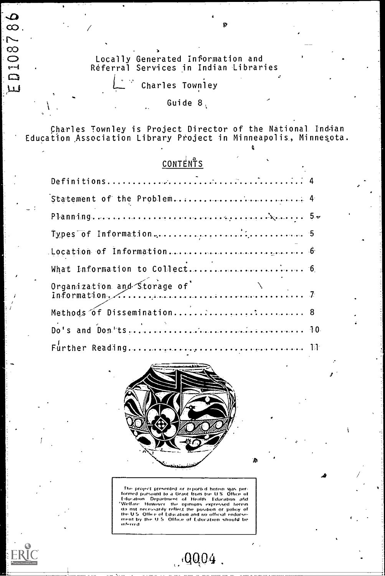Locally Generated Information and<br>Réferral Services in Indian Libraries

Charles Townley

 $\frac{1}{\infty}$ 

**D10878** 

لبيل

ERI<sup>(</sup>

# Guide<sup>8</sup>

Charles Townley is Project Director of the National Indian<br>Education Association Library Project in Minneapolis, Minnesota.

# CONTENTS

| Organization and Storage of<br>Information, (1999) |  |
|----------------------------------------------------|--|
| Methods of Dissemination 8                         |  |
|                                                    |  |
|                                                    |  |



The project presented or reported berein was performed pursuant to a Grant from the U.S. Office of Education - Department of Health Education and "Welfare" (Welfare However the opinions expressed berein do not necessarily

 $.9004$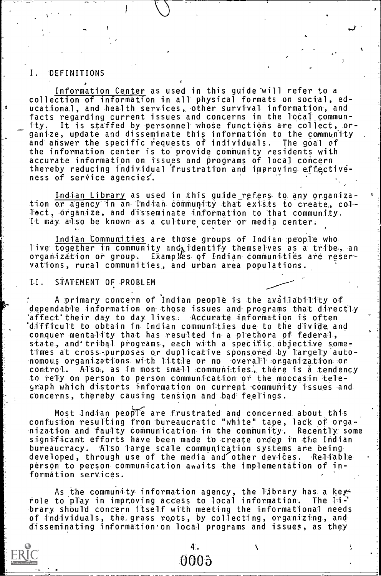#### Ī. DEFINITIONS

Information Center as used in this guide will refer to a collection of information in all physical formats on social, educational, and health services, other survival information, and facts regarding current issues and concerns in the local commun-It is staffed by personnel whose functions are collect, ority. ganize, update and disseminate this information to the community<br>and answer the specific requests of individuals. The goal of the information center is to provide community residents with accurate information on issues and programs of local concern thereby reducing individual frustration and improving effectiveness of service agencies.

Indian Library as used in this guide refers to any organization or agency in an Indian community that exists to create, col-Fect, organize, and disseminate information to that community. It may also be known as a culture center or media center.

Indian Communities are those groups of Indian people who live together in community and identify themselves as a tribe, an organization or group. Examples of Indian communities are reservations, rural communities, and urban area populations.

#### STATEMENT OF PROBLEM  $11.$

A primary concern of Indian people is the availability of dependable information on those issues and programs that directly affect their day to day lives. Accurate information is often difficult to obtain in Indian communities due to the divide and conquer mentality that has resulted in a plethora of federal, state, and tribal programs, each with a specific objective sometimes at cross-purposes or duplicative sponsored by largely autonomous organizations with little or no overall organization or control. Also, as in most small communities, there is a tendency to rely on person to person communication or the moccasin telegraph which distorts information on current community issues and concerns, thereby causing tension and bad feelings.

Most Indian people are frustrated and concerned about this. confusion resulting from bureaucratic "white" tape, lack of organization and faulty communication in the community. Recently some<br>significant efforts have been made to create ordey in the Indian bureaucracy. Also large scale communication systems are being developed, through use of the media and other devices. Reliable person to person communication awaits the implementation of information services.

As the community information agency, the Eibrary has a key-<br>role to play in improving access to local information. The library should concern itself with meeting the informational needs of individuals, the grass roots, by collecting, organizing, and disseminating information on local programs and issues, as they

> 4. 0005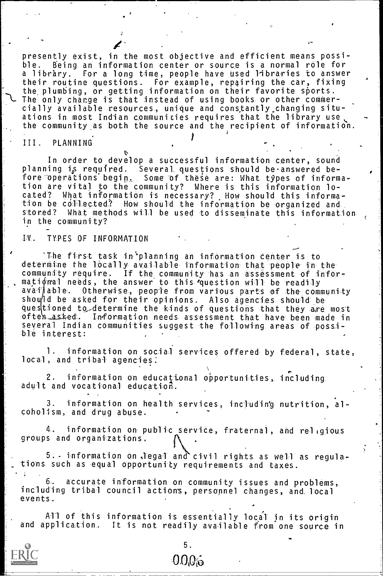presently exist, in the most objective and efficient means possible. Being an information center or source is a normal role for a library. For a long time, people have used libraries to answer  $\qquad$  : their routine questions. For example, repairing the car, fixing<br>the plumbing, or getting information on their favorite sports. The only change is that instead of using books or other commercially available resources, unique and constantly changing situations in most Indian communities requires that the library user the community,as both the source and the recipient of information.

# III. PLANNING

In order to deyelop a successful information center, sound planning is required. Several questions should be answered before operations begi<u>n,</u> Some of these are: What types of informa<sub>'</sub> tion are vital to the community? Where is this information lo-What information is necessary? How should this information be collected? How should the information be organized and<br>stored? What methods will be used to disseminate this informati What methods will be used to disseminate this information in the community?

## IV. TYPES OF INFORMATION

'The first task in°planning an information center is to determine the locally available information that people in the community require. If the community has an assessment of informational needs, the answer to this question will be readily<br>available. Otherwise, people from various parts of the comm Otherwise, people from various parts of the community should be asked for their opinions. Also agencies should be questioned to determine the kinds of questions that they are most ofteh asked. Information needs assessment that have been made in several Indian communities suggest the following areas of possible interest:

1. information on social services offered by federal, state, local, and tribal agencies:

2. information on educational opportunities, including adult and vocational education.

3. information on health services, including nutrition, alcoholism, and drug abuse.

4, information on- public service, fraternal, and religious groups and organizations.

 $5.$  information on legal and civil rights as well as regulations such as equal opportunity requirements and taxes.

6. accurate information on community issues and problems, including tribal council actions, personnel changes, and. local events.

All of this information is essentially local in its origin and application. It is not readily available from one source in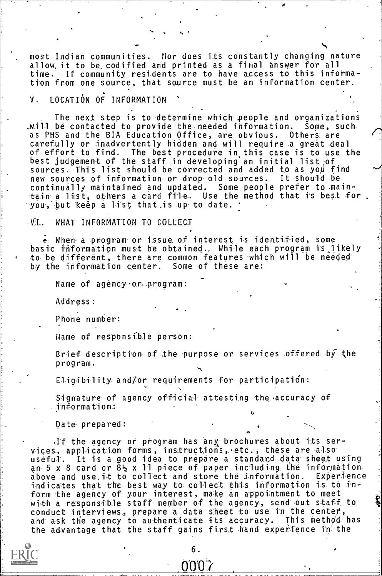most Indian communities. Nor does its constantly changing nature allow. it to be codified and printed as a final answer for all<br>time. If community residents are to have access to this info If community residents are to have access to this information from one source, that source must be an information center.

# V. LOCATION OF INFORMATION

The next step is to determine which people and organizations<br>be contacted to provide the needed information. Some, such \_will be contacted to provide the needed information. Some, such as PHS and the BIA Education Office, are obvious. Others are carefully or inadvertently hidden and will require a great deal of effort to find. The best procedure in this case is to use the best judgement of the staff in developing an initial list of  $\,$ sources. This list should be corrected and added to as you find  $\sim$ new sources of information or drop old sources. It should be continually maintained and updated. Some people prefer to maintain a list, others a- card file. Use the method that i5 best for . you, but keep a list that is up to date.

## -VI. WHAT INFORMATION TO COLLECT

When a program or issue of interest is identified, some basic information must be obtained., Whi-le each- program is:likely to be different, there are common features which will be needed<br>by the information center. Some of these are: by the information center.

Name of agency or program:

Address:

Phone number:

Hame of responsible person:

Brief description of the purpose or services offered by the program.

Eligibility and/or requirements for participation:

Signature of agency official attesting the accuracy of information:

Date prepared:

,If the agency- or program has 'any,. brochures about its services, application forms, instructions,  $etc.,$  these are also useful. It is a good idea to prepare a standard data sheet using an 5 x 8 card or  $8\frac{1}{2}$  x 11 piece of paper including the information above and use,it to collect and store the information. Experience indicates that the best way to collect this information is to inform the agency of your interest, make an appointment to meet  $\frac{1}{20}$ with a responsible staff member of the- agency, send out staff, to conduct interviews, prepare a data sheet to use in the center,<br>and ask the agency to authenticate its accuracy. This method has and ask the agency to authenticate its accuracy. the advantage that the staff gains first hand experience in the

> 6. 007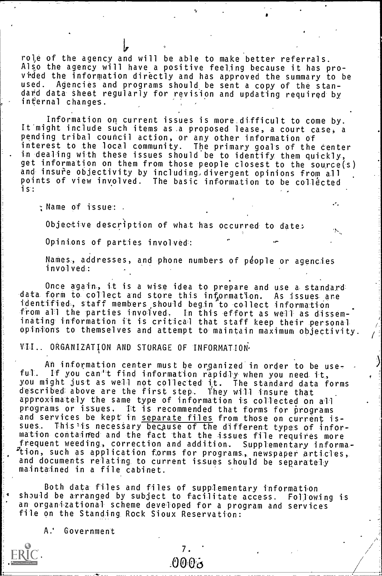role of the agency and will be able to make better referrals. Also the agency will have a positive feeling because it has provided the information directly and has approved the summary to be verted to a standard and programs should be sent a copy of the standard Agencies and programs should be sent a copy of the standard data sheet regularly for revision and updating required by internal changes.

Information on current issues is more difficult to come by. It'might include such items as,a proposed lease, a court case, a pending tribal council action, or any other information of interest to the local community. The primary goals of the center . in dealing with these issues should be to identify them quickly, get information on them from those people closest to the source(s) and insure objectivity by including divergent opinions from all<br>points of view involved. The basic information to be collected The basic information to be collected is:

;Name of issue: .

Objective description of what has occurred to date:

Opinions of parties involved:

Names, addresses, and phone numbers of p4ople or agencies involved:

Once again., it is a wise idea to prepare and use a standard data form to collect and store this information. As issues are identified, staff members should begin to collect information from all the parties involved. In this effort as well as disseminating information it is critical that staff keep their personal opinions to themselves and attempt to maintain maximum objectivity.

VII.. ORGANIZATION AND STORAGE OF INFORMATION,

An information center must be organized in order to be useful. If you can't find information rapidly when you need it, you might just as well not collected i;t. The standard data forms described above are the first step. They will insure that approximately the same type of information is collected on all programs or issues. It is recommended that forms for programs and services be kept in <u>separate files</u> from those on current issues. This is necessary because of the different types of information contained and the fact that the issues file requires more frequent weeding, correction and addition. Supplementary information, such as application forms for programs, newspaper articles,  $\qquad \quad \mid$ and documents relating to current issues should be separately maintained in a file cabinet.

Both data files and files of supplementary informatton should be arranged by subject to facilitate access. Following is an- organizational scheme developed for a program and services file on the Standing Rock Sioux Reservation:

 $A$ . Government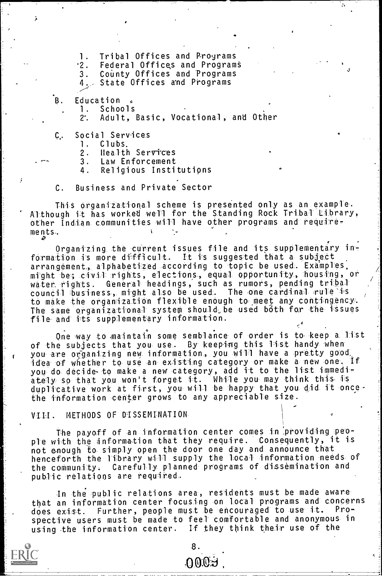Tribal Offices and Programs 1.

Federal Offices and Programs  $\cdot$  2 .

County Offices and Programs  $3.$ 

4. State Offices and Programs

Education Β.

> 1. Schools

Adult, Basic, Vocational, and Other  $2<sup>2</sup>$ 

Social Services C.

> Clubs. 1.

 $2.$ Health Services

Law Enforcement  $3.$ 

Religious Institutions 4.

**Business and Private Sector**  $\mathfrak{c}$ .

This organizational scheme is presented only as an example. Although it has worked well for the Standing Rock Tribal Library, other Indian communities will have other programs and require- $\mathbf{V}$  $ments.$ 

Organizing the current issues file and its supplementary information is more difficult. It is suggested that a subject arrangement, alphabetized according to topic be used. Examples, might be; civil rights, elections, equal opportunity, housing, or water rights. General headings, such as rumors, pending tribal council business, might also be used. The one cardinal rule is to make the organization flexible enough to meet any contingency. The same organizational system should be used both for the issues file and its supplementary information.

One way to maintain some semblance of order is to keep a list of the subjects that you use. By keeping this list handy when you are organizing new information, you will have a pretty good idea of whether to use an existing category or make a new one. If you do decide to make a new category, add it to the list immediately so that you won't forget it. While you may think this is duplicative work at first, you will be happy that you did it once. the information center grows to any appreciable size.

METHODS OF DISSEMINATION  $V-I.I.$ 

The payoff of an information center comes in providing people with the information that they require. Consequently, it is not enough to simply open the door one day and announce that<br>henceforth the library will supply the local information needs of the community. Carefully planned programs of dissemination and public relations are required.

In the public relations area, residents must be made aware that an information center focusing on local programs and concerns Further, people must be encouraged to use it.  $Pro$ does exist. spective users must be made to feel comfortable and anonymous in using the information center. If they think their use of the

oooa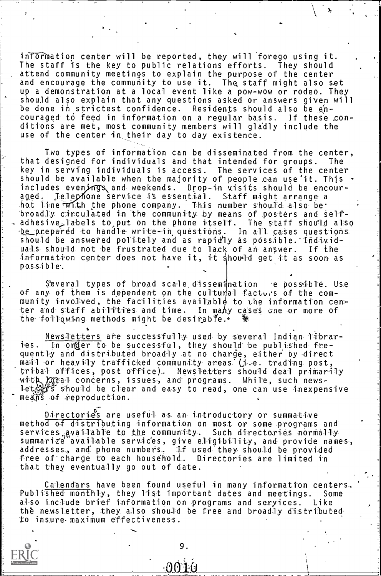information center will be reported, they will forego using it. The staff is the key to public relations efforts. They should attend community meetings to explain the purpose of the center and encourage the community to use it. The staff might also set up a demonstration at a local event like a pow-wow or rodeo. They should also explain that any questions asked or answers given will be done in strictest confidence. Residents should also be encouraged- to feed in information on a regular basis. If these conditions are met, most community members will gladly include the use of the center in their day to day existence.

Iwo types of information can be disseminated from the center, that designed for individuals and that intended for groups. The key in serving individuals is access. The services of the center the serving individuals is access. should be available when the majority of people can use it. This  $\cdot$ includes even*i*ngs and weekends. Drop-in visits should be encouraged. Telephone service is essential. Staff might arrange a  $\pm$  hot line-with the phone company. This number should also be: broadly circulated in the community by means of posters and self-, adhes-ivelabels to put on the phone itself. The staff should also  $\blacksquare$ b<u>e p</u>repared to handle write-in questions. In all cases questions are a should be answered politely and as rapidly as possible. Individuals should not be frustrated due to lack of an answer. If the information center does not have it, it showld get it as soon aspossible%

Several types of broad scale dissemination e possible. Use of any of them is dependent on the cultural facturs of the community involved, the facilities available to the information center and staff abilities and time. In many cases one or more of the following methods might be desirable.

Newsletters are successfully used by several Indian libraries. In order to be successful, they should be published frequently and distributed broadly at no charge, either by direct mail or heavily trafficked community areas (i.e. trading post, tribal offices, post office). Newsletters should deal- primarily with  $\log$  concerns, issues, and programs. While, such newslet,袋兮should be clear and easy to read, one can use inexpensive  $me\ddot{\tilde{m}}\ddot{\tilde{s}}$  of reproduction.

Directories are useful as an introductory or summative method of distributing information on most or some programs and services available to the community. Such directories normally summarize available services, give eligibility, and provide names, addresses, and phone numbers. If used they should be provided<br>free of charge to each household. Directories are limited in free of charge to each household. that they eventually go out of date.

Calendars have been found useful in many information centers. Published monthly, they list important dates and meetings. Some also include brief information on programs and seryices. Like the newsletter, they also should be free and broadly distributed to insure-maximum effectiveness.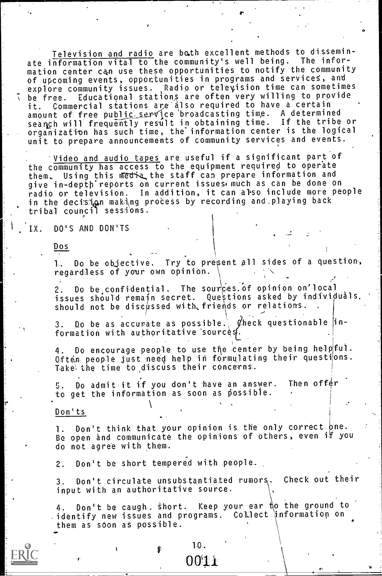Television and radio are bath excellent methods to disseminate information vital to the community's well being. The information center ca,n use these opportunities to notify the community of upcoming events, opportunities in programs and serviceS, and explore community issues. Radio or television time can sometimes k' be free. Educational stations are often very willing to provide it. Commercial stations are'dlso required to have a certain amount of free public service broadcasting time. A determined seanch will frequently result in obtaining time. If the tribe or organization has such time, the information center is the logical unit to prepare announcements of community services and events.

'Vide<u>o and audio tape</u>s are useful if a significant part of the community has access to the equipment required to operate them. Using this media the staff can prepare information and give in-depth reports on current issues, much as can be done on radio or television. In addition, it can also include more people in the decision making process by recording and playing back tribal- council sessions.

LX. DO'S AND DON'TS

Dos

1. Do be objective. Try to present all sides of a question, regardless of your own opinion.

2. Do be confidential. The sources of opinion on local issues should remain secret. Questions asked by individuals. should not be discussed with, friends or relations.

3. Do be as accurate as possible.,  $\emptyset$ heck questionable  $|$ information with authoritative sources.

4. Do encourage people to use the center by being help  $f_u$ . Often people just need help in formulating their questions. Take the time to discuss their concerns.

5. Do admit it if you don't have an answer. Then offer to get the information as soon as possible.

Don'ts

1. Don't think that your opinion is the only correct one. Be open and communicate the opinions of others, even if you do not agree with them.

2. Don't be short tempered with people.

3. Don't circulate unsubstantiated rumors. Check out their input with an authoritative source.

4. Don't be caugh, Short. Keep your ear t\o the ground to identify new issues and programs. Collect information on them as soon as possible.

> $1 - 0.$ 0011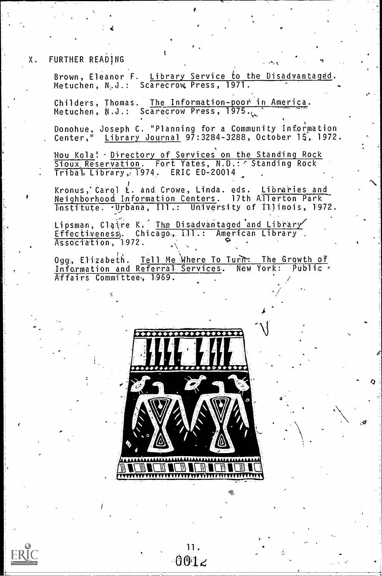FURTHER READING Χ.

> Brown, Eleanor F. Library Service to the Disadvantaged Metuchen, N.J.: Scarecrow, Press, 1971.

Childers, Thomas. The Information-poor in America.<br>Metuchen, N.J.: Scarecrow Press, 1975.

Donohue, Joseph C. "Planning for a Community Information<br>Center," Library Journal 97:3284-3288. October 15. 1972 Library Journal 97:3284-3288, October 15, 1972.

Hou Kola! Directory of Services on the Standing Rock Sioux, Reservation. Fort Yates, N.D.: 7 Standing Rock Tribal Library, 1974. ERIC ED-20014

Kronus, Carol L. and Crowe, Linda. eds. Libraries and Neighborhood Information Centers. 17th Allerton Park Institute. . Urbana, Ill.: University of Illinois, 1972.

Lipsman, Claire K. The Disadvantaged and Library Association, 1972.

Ogg, Elizabeth. Tell Me Where To Turn: The Growth of<br>Information and Referral Services. New York: Public Affairs Committee, 1969.